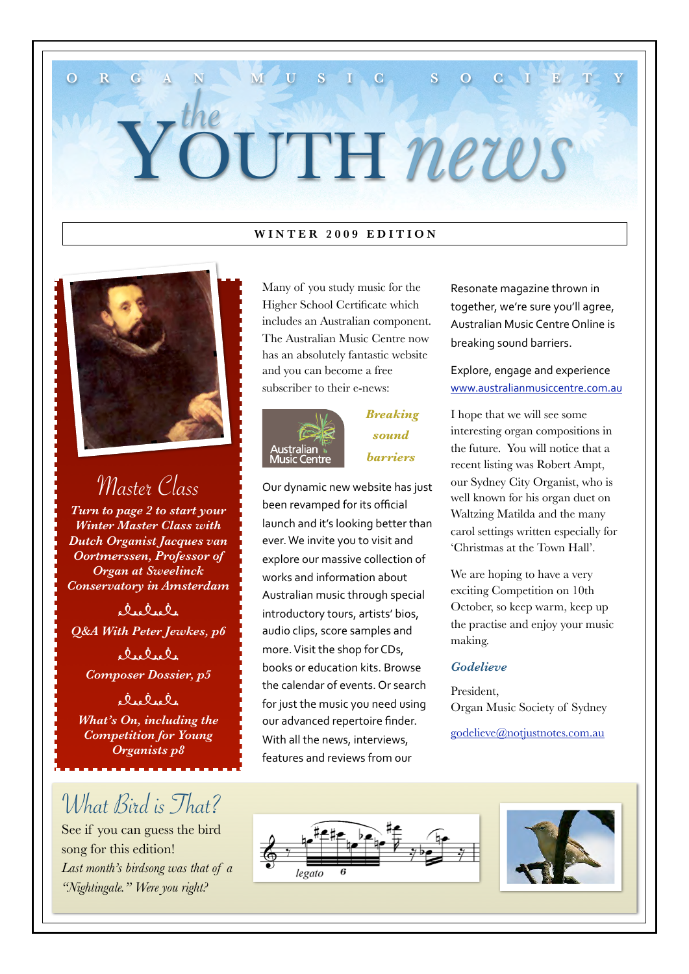# YOUTH *news* the

**O R G A N M M U S I C S O C I E** 

#### **WINTER 2009 EDITION**



Master Class

*Turn to page 2 to start your Winter Master Class with Dutch Organist Jacques van Oortmerssen, Professor of Organ at Sweelinck Conservatory in Amsterdam*

delele *Q&A With Peter Jewkes, p6*

 $R_{16}Q_{16}Q_{1}$ *Composer Dossier, p5*

delele *What's On, including the Competition for Young Organists p8*

### What Bird is That?

See if you can guess the bird song for this edition! *Last month's birdsong was that of a "Nightingale." Were you right?*

Many of you study music for the Higher School Certificate which includes an Australian component. The Australian Music Centre now has an absolutely fantastic website and you can become a free subscriber to their e-news:



#### *Breaking sound barriers*

Our
dynamic
new
website
has
just been
revamped
for
its
official launch and it's looking better than ever.
We
invite
you
to
visit
and explore
our
massive
collection
of works
and
information
about Australian
music
through
special introductory
tours,
artists'
bios, audio
clips,
score
samples
and more.
Visit
the
shop
for
CDs, books
or
education
kits.
Browse the
calendar
of
events.
Or
search for
just
the
music
you
need
using our
advanced
repertoire
finder. With all the news, interviews, features
and
reviews
from
our

Resonate
magazine
thrown
in together,
we're
sure
you'll
agree, Australian
Music
Centre
Online
is breaking
sound
barriers.

Explore,
engage
and
experience [www.australianmusiccentre.com.au](http://www.australianmusiccentre.com.au)

I hope that we will see some interesting organ compositions in the future. You will notice that a recent listing was Robert Ampt, our Sydney City Organist, who is well known for his organ duet on Waltzing Matilda and the many carol settings written especially for 'Christmas at the Town Hall'.

We are hoping to have a very exciting Competition on 10th October, so keep warm, keep up the practise and enjoy your music making.

#### *Godelieve*

President, Organ Music Society of Sydney

[godelieve@notjustnotes.com.au](mailto:godelieve@notjustnotes.com.au) 



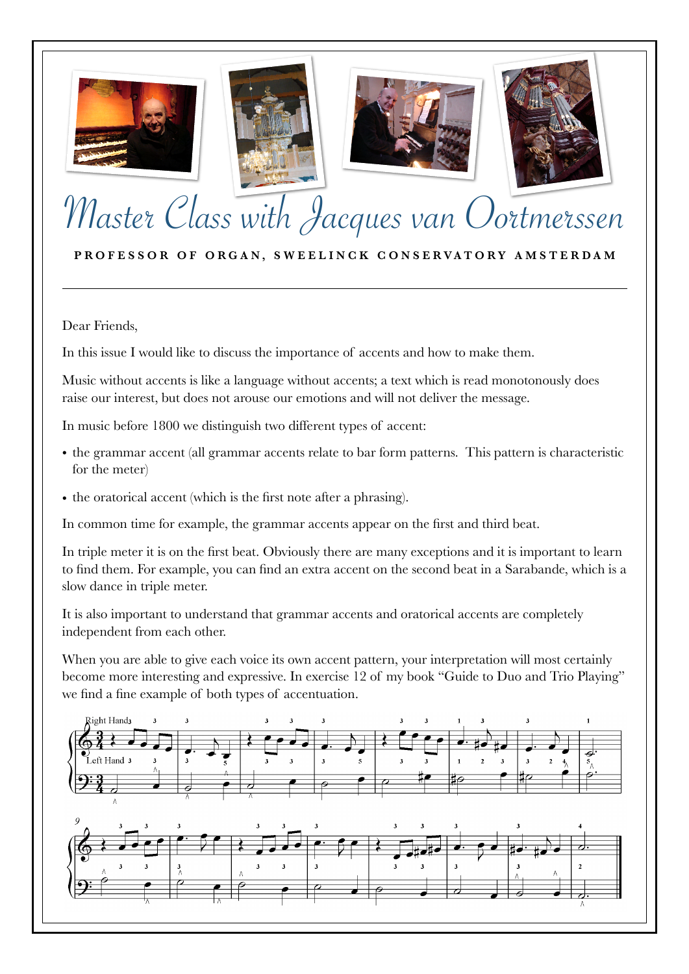







# Master Class with Jacques van Oortmerssen

PROFESSOR OF ORGAN, SWEELINCK CONSERVATORY AMSTERDAM

Dear Friends,

In this issue I would like to discuss the importance of accents and how to make them.

Music without accents is like a language without accents; a text which is read monotonously does raise our interest, but does not arouse our emotions and will not deliver the message.

In music before 1800 we distinguish two different types of accent:

- the grammar accent (all grammar accents relate to bar form patterns. This pattern is characteristic for the meter)
- the oratorical accent (which is the first note after a phrasing).

In common time for example, the grammar accents appear on the first and third beat.

In triple meter it is on the first beat. Obviously there are many exceptions and it is important to learn to find them. For example, you can find an extra accent on the second beat in a Sarabande, which is a slow dance in triple meter.

It is also important to understand that grammar accents and oratorical accents are completely independent from each other.

When you are able to give each voice its own accent pattern, your interpretation will most certainly become more interesting and expressive. In exercise 12 of my book "Guide to Duo and Trio Playing" we find a fine example of both types of accentuation.

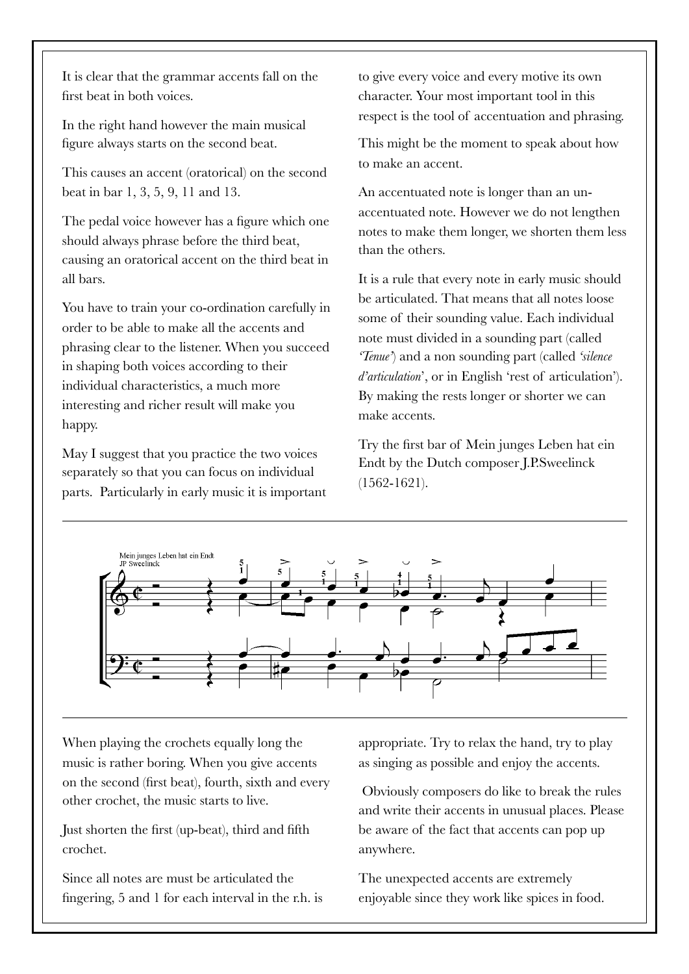It is clear that the grammar accents fall on the first beat in both voices.

In the right hand however the main musical figure always starts on the second beat.

This causes an accent (oratorical) on the second beat in bar 1, 3, 5, 9, 11 and 13.

The pedal voice however has a figure which one should always phrase before the third beat, causing an oratorical accent on the third beat in all bars.

You have to train your co-ordination carefully in order to be able to make all the accents and phrasing clear to the listener. When you succeed in shaping both voices according to their individual characteristics, a much more interesting and richer result will make you happy.

May I suggest that you practice the two voices separately so that you can focus on individual parts. Particularly in early music it is important to give every voice and every motive its own character. Your most important tool in this respect is the tool of accentuation and phrasing.

This might be the moment to speak about how to make an accent.

An accentuated note is longer than an unaccentuated note. However we do not lengthen notes to make them longer, we shorten them less than the others.

It is a rule that every note in early music should be articulated. That means that all notes loose some of their sounding value. Each individual note must divided in a sounding part (called *'Tenue'*) and a non sounding part (called *'silence d'articulation*', or in English 'rest of articulation'). By making the rests longer or shorter we can make accents.

Try the first bar of Mein junges Leben hat ein Endt by the Dutch composer J.P.Sweelinck (1562-1621).



When playing the crochets equally long the music is rather boring. When you give accents on the second (first beat), fourth, sixth and every other crochet, the music starts to live.

Just shorten the first (up-beat), third and fifth crochet.

Since all notes are must be articulated the fingering, 5 and 1 for each interval in the r.h. is appropriate. Try to relax the hand, try to play as singing as possible and enjoy the accents.

 Obviously composers do like to break the rules and write their accents in unusual places. Please be aware of the fact that accents can pop up anywhere.

The unexpected accents are extremely enjoyable since they work like spices in food.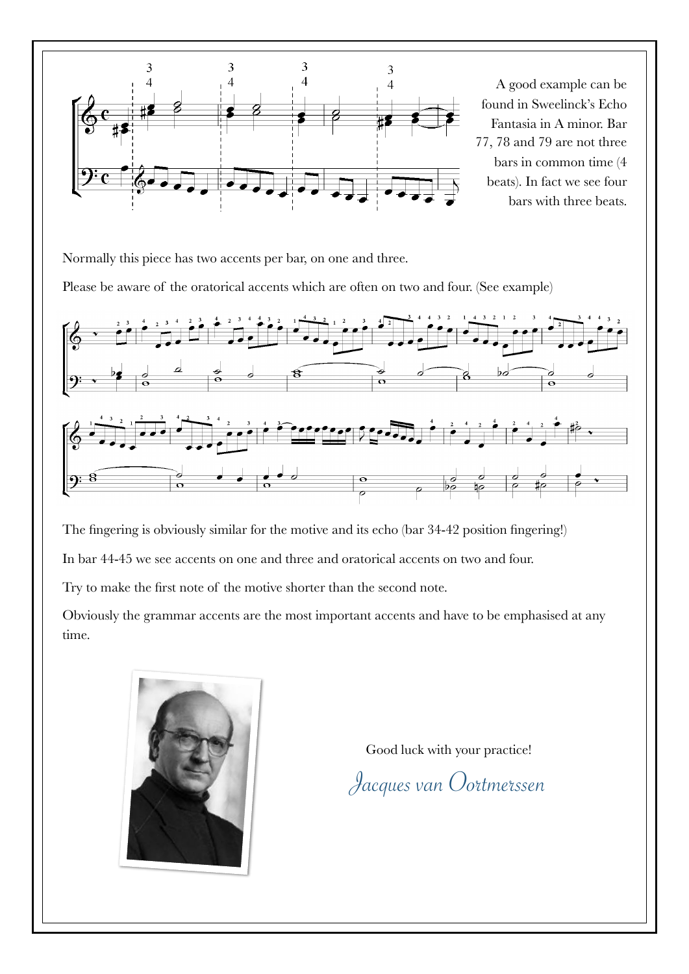

Normally this piece has two accents per bar, on one and three.

Please be aware of the oratorical accents which are often on two and four. (See example)



The fingering is obviously similar for the motive and its echo (bar 34-42 position fingering!) In bar 44-45 we see accents on one and three and oratorical accents on two and four.

Try to make the first note of the motive shorter than the second note.

Obviously the grammar accents are the most important accents and have to be emphasised at any time.



Good luck with your practice!

Jacques van Oortmerssen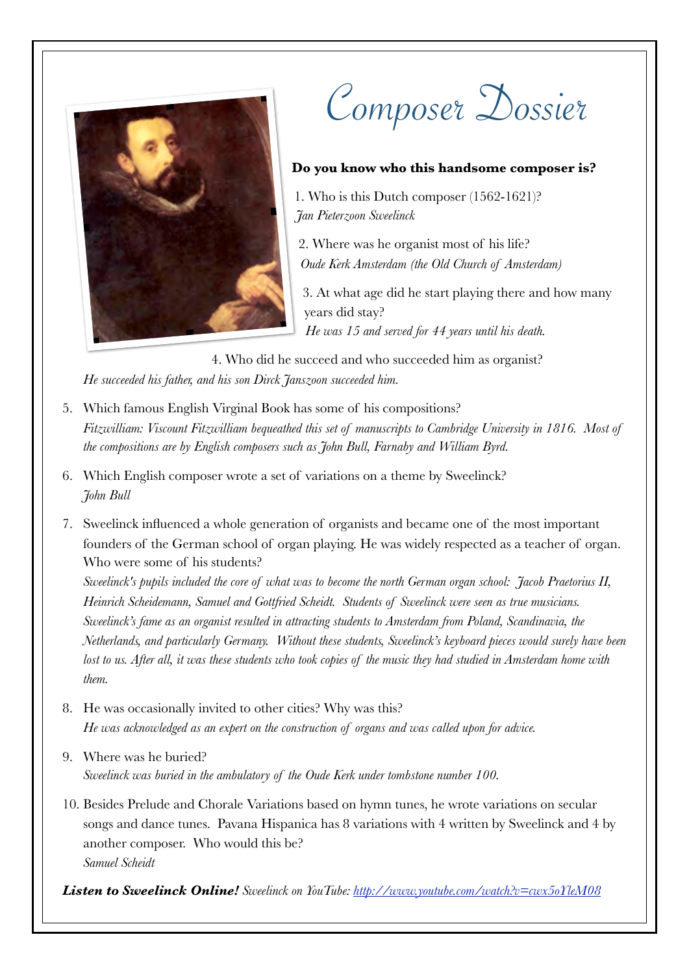

Composer Dossier

#### **Do you know who this handsome composer is?**

1. Who is this Dutch composer (1562-1621)? *Jan Pieterzoon Sweelinck* 

2. Where was he organist most of his life? *Oude Kerk Amsterdam (the Old Church of Amsterdam)*

3. At what age did he start playing there and how many years did stay? *He was 15 and served for 44 years until his death.*

4. Who did he succeed and who succeeded him as organist? *He succeeded his father, and his son Dirck Janszoon succeeded him.*

- 5. Which famous English Virginal Book has some of his compositions? *Fitzwilliam: Viscount Fitzwilliam bequeathed this set of manuscripts to Cambridge University in 1816. Most of the compositions are by English composers such as John Bull, Farnaby and William Byrd.*
- 6. Which English composer wrote a set of variations on a theme by Sweelinck? *John Bull*
- 7. Sweelinck influenced a whole generation of organists and became one of the most important founders of the German school of organ playing. He was widely respected as a teacher of organ. Who were some of his students?

*Sweelinck's pupils included the core of what was to become the [north German organ school:](http://%22) Jacob Praetorius II, Heinrich Scheidemann, [Samuel](http://en.wikipedia.org/wiki/Samuel_Scheidt%22%20%5Co%20%22Samuel%20Scheidt) and [Gottfried Scheidt.](http://%22ht) Students of Sweelinck were seen as true musicians. Sweelinck's fame as an organist resulted in attracting students to Amsterdam from Poland, Scandinavia, the Netherlands, and particularly Germany. Without these students, Sweelinck's keyboard pieces would surely have been*  lost to us. After all, it was these students who took copies of the music they had studied in Amsterdam home with *them.*

- 8. He was occasionally invited to other cities? Why was this? *He was acknowledged as an expert on the construction of organs and was called upon for advice.*
- 9. Where was he buried? *Sweelinck was buried in the ambulatory of the Oude Kerk under tombstone number 100.*
- 10. Besides Prelude and Chorale Variations based on hymn tunes, he wrote variations on secular songs and dance tunes. Pavana Hispanica has 8 variations with 4 written by Sweelinck and 4 by another composer. Who would this be? *Samuel Scheidt*

*Listen to Sweelinck Online! Sweelinck on YouTube:<http://www.youtube.com/watch?v=cwx5oYleM08>*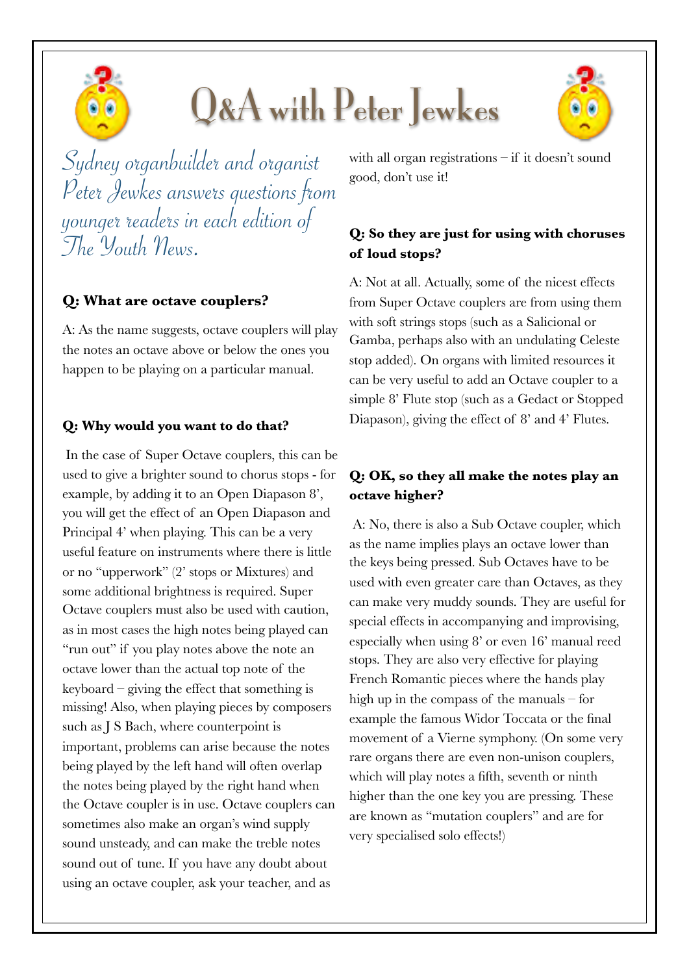# Q&A with Peter Jewkes



#### **Q: What are octave couplers?**

A: As the name suggests, octave couplers will play the notes an octave above or below the ones you happen to be playing on a particular manual.

#### **Q: Why would you want to do that?**

In the case of Super Octave couplers, this can be used to give a brighter sound to chorus stops - for example, by adding it to an Open Diapason 8', you will get the effect of an Open Diapason and Principal 4' when playing. This can be a very useful feature on instruments where there is little or no "upperwork" (2' stops or Mixtures) and some additional brightness is required. Super Octave couplers must also be used with caution, as in most cases the high notes being played can "run out" if you play notes above the note an octave lower than the actual top note of the keyboard – giving the effect that something is missing! Also, when playing pieces by composers such as J S Bach, where counterpoint is important, problems can arise because the notes being played by the left hand will often overlap the notes being played by the right hand when the Octave coupler is in use. Octave couplers can sometimes also make an organ's wind supply sound unsteady, and can make the treble notes sound out of tune. If you have any doubt about using an octave coupler, ask your teacher, and as

with all organ registrations – if it doesn't sound good, don't use it!

#### **Q: So they are just for using with choruses of loud stops?**

A: Not at all. Actually, some of the nicest effects from Super Octave couplers are from using them with soft strings stops (such as a Salicional or Gamba, perhaps also with an undulating Celeste stop added). On organs with limited resources it can be very useful to add an Octave coupler to a simple 8' Flute stop (such as a Gedact or Stopped Diapason), giving the effect of 8' and 4' Flutes.

#### **Q: OK, so they all make the notes play an octave higher?**

A: No, there is also a Sub Octave coupler, which as the name implies plays an octave lower than the keys being pressed. Sub Octaves have to be used with even greater care than Octaves, as they can make very muddy sounds. They are useful for special effects in accompanying and improvising, especially when using 8' or even 16' manual reed stops. They are also very effective for playing French Romantic pieces where the hands play high up in the compass of the manuals – for example the famous Widor Toccata or the final movement of a Vierne symphony. (On some very rare organs there are even non-unison couplers, which will play notes a fifth, seventh or ninth higher than the one key you are pressing. These are known as "mutation couplers" and are for very specialised solo effects!)

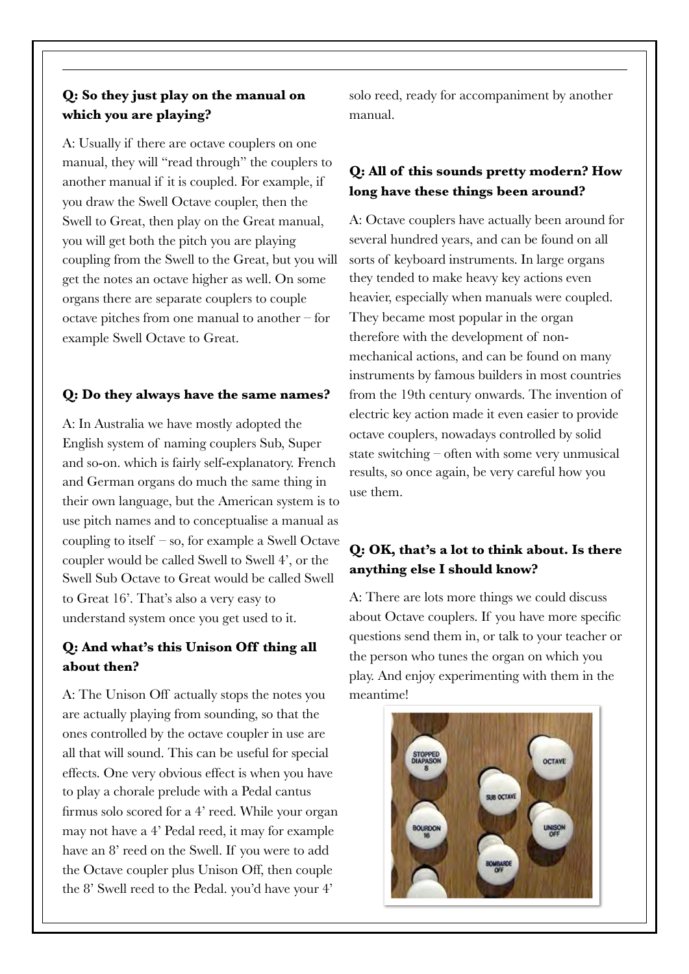#### **Q: So they just play on the manual on which you are playing?**

A: Usually if there are octave couplers on one manual, they will "read through" the couplers to another manual if it is coupled. For example, if you draw the Swell Octave coupler, then the Swell to Great, then play on the Great manual, you will get both the pitch you are playing coupling from the Swell to the Great, but you will get the notes an octave higher as well. On some organs there are separate couplers to couple octave pitches from one manual to another – for example Swell Octave to Great.

#### **Q: Do they always have the same names?**

A: In Australia we have mostly adopted the English system of naming couplers Sub, Super and so-on. which is fairly self-explanatory. French and German organs do much the same thing in their own language, but the American system is to use pitch names and to conceptualise a manual as coupling to itself – so, for example a Swell Octave coupler would be called Swell to Swell 4', or the Swell Sub Octave to Great would be called Swell to Great 16'. That's also a very easy to understand system once you get used to it.

#### **Q: And what's this Unison Off thing all about then?**

A: The Unison Off actually stops the notes you are actually playing from sounding, so that the ones controlled by the octave coupler in use are all that will sound. This can be useful for special effects. One very obvious effect is when you have to play a chorale prelude with a Pedal cantus firmus solo scored for a 4' reed. While your organ may not have a 4' Pedal reed, it may for example have an 8' reed on the Swell. If you were to add the Octave coupler plus Unison Off, then couple the 8' Swell reed to the Pedal. you'd have your 4'

solo reed, ready for accompaniment by another manual.

#### **Q: All of this sounds pretty modern? How long have these things been around?**

A: Octave couplers have actually been around for several hundred years, and can be found on all sorts of keyboard instruments. In large organs they tended to make heavy key actions even heavier, especially when manuals were coupled. They became most popular in the organ therefore with the development of nonmechanical actions, and can be found on many instruments by famous builders in most countries from the 19th century onwards. The invention of electric key action made it even easier to provide octave couplers, nowadays controlled by solid state switching – often with some very unmusical results, so once again, be very careful how you use them.

#### **Q: OK, that's a lot to think about. Is there anything else I should know?**

A: There are lots more things we could discuss about Octave couplers. If you have more specific questions send them in, or talk to your teacher or the person who tunes the organ on which you play. And enjoy experimenting with them in the meantime!